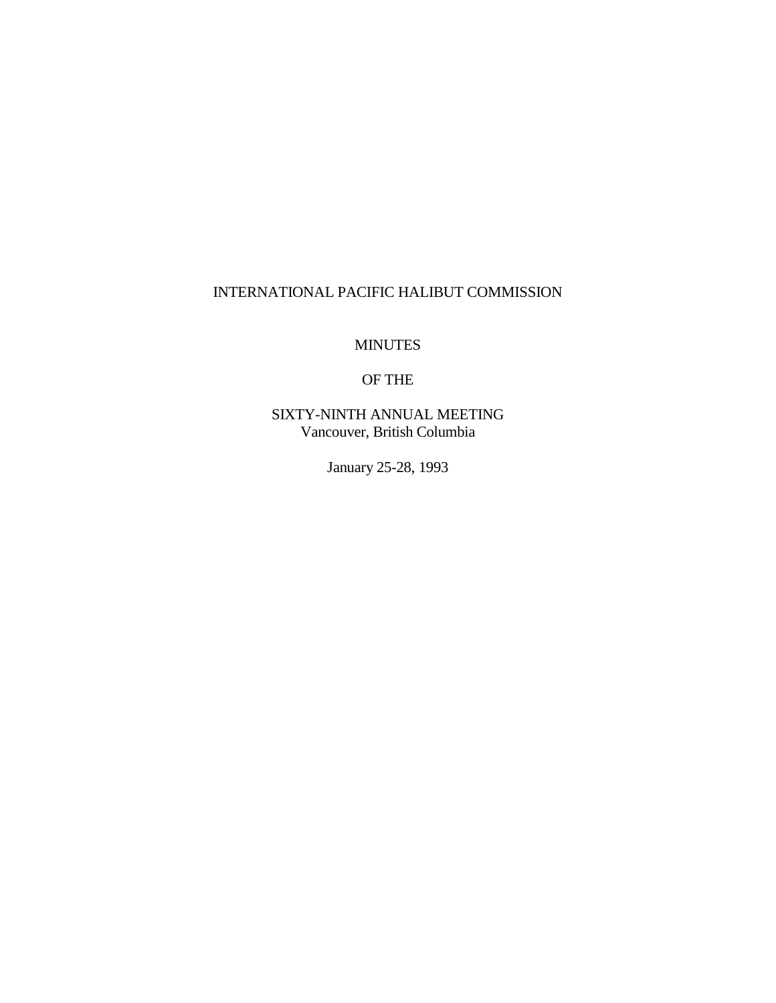## INTERNATIONAL PACIFIC HALIBUT COMMISSION

MINUTES

## OF THE

SIXTY-NINTH ANNUAL MEETING Vancouver, British Columbia

January 25-28, 1993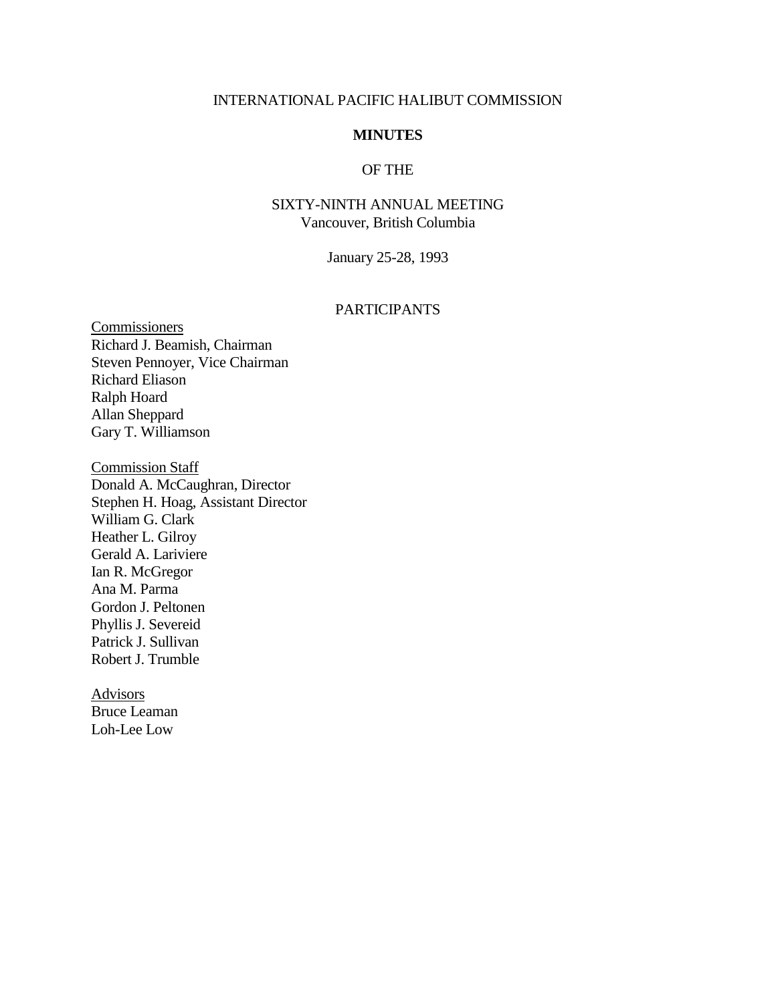#### INTERNATIONAL PACIFIC HALIBUT COMMISSION

### **MINUTES**

## OF THE

## SIXTY-NINTH ANNUAL MEETING Vancouver, British Columbia

January 25-28, 1993

## PARTICIPANTS

Commissioners Richard J. Beamish, Chairman Steven Pennoyer, Vice Chairman Richard Eliason Ralph Hoard Allan Sheppard Gary T. Williamson

Commission Staff Donald A. McCaughran, Director Stephen H. Hoag, Assistant Director William G. Clark Heather L. Gilroy Gerald A. Lariviere Ian R. McGregor Ana M. Parma Gordon J. Peltonen Phyllis J. Severeid Patrick J. Sullivan Robert J. Trumble

Advisors Bruce Leaman Loh-Lee Low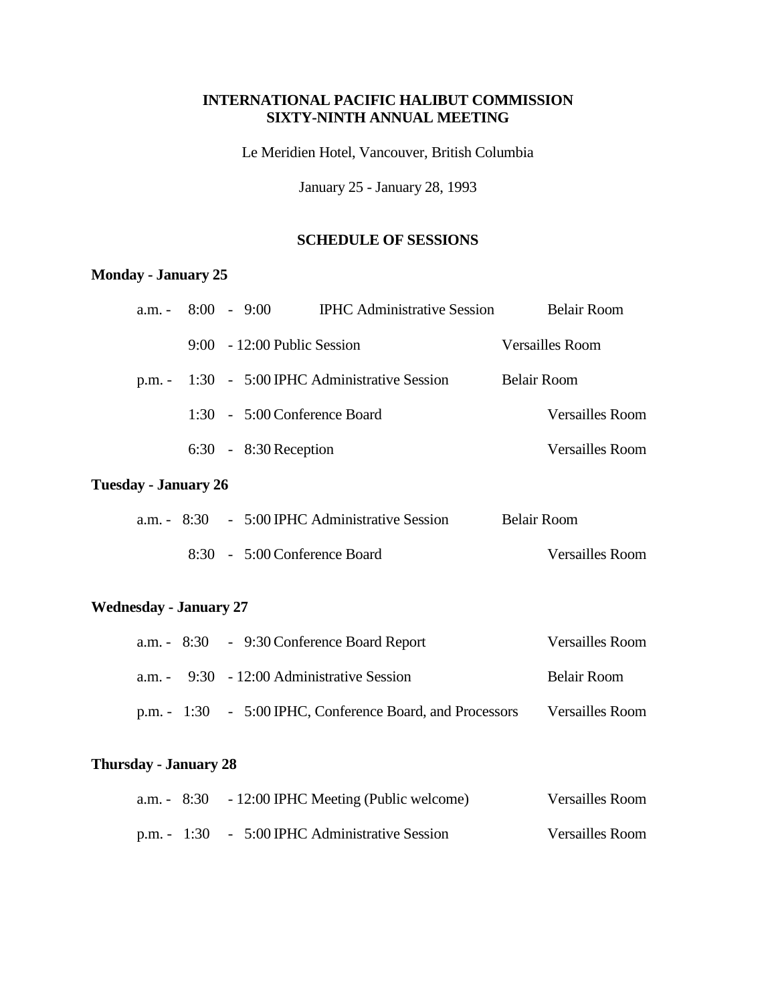## **INTERNATIONAL PACIFIC HALIBUT COMMISSION SIXTY-NINTH ANNUAL MEETING**

Le Meridien Hotel, Vancouver, British Columbia

January 25 - January 28, 1993

## **SCHEDULE OF SESSIONS**

## **Monday - January 25**

| $a.m. -$        |  | $8:00 - 9:00$                  | <b>IPHC Administrative Session</b>             | <b>Belair Room</b>     |
|-----------------|--|--------------------------------|------------------------------------------------|------------------------|
|                 |  | $9:00 - 12:00$ Public Session  |                                                | Versailles Room        |
|                 |  |                                | p.m. - 1:30 - 5:00 IPHC Administrative Session | <b>Belair Room</b>     |
|                 |  | $1:30 - 5:00$ Conference Board |                                                | <b>Versailles Room</b> |
|                 |  | $6:30 - 8:30$ Reception        |                                                | <b>Versailles Room</b> |
| av - Januarv 26 |  |                                |                                                |                        |

# **Tuesday - January 26**

|  | a.m. $-8:30 - 5:00$ IPHC Administrative Session | Belair Room            |
|--|-------------------------------------------------|------------------------|
|  | 8:30 - 5:00 Conference Board                    | <b>Versailles Room</b> |

## **Wednesday - January 27**

|  | a.m. $-8:30$ - 9:30 Conference Board Report               | <b>Versailles Room</b> |
|--|-----------------------------------------------------------|------------------------|
|  | a.m. $-9:30 -12:00$ Administrative Session                | Belair Room            |
|  | p.m. - 1:30 - 5:00 IPHC, Conference Board, and Processors | <b>Versailles Room</b> |

## **Thursday - January 28**

|              | a.m. $-8:30 -12:00$ IPHC Meeting (Public welcome) | Versailles Room |
|--------------|---------------------------------------------------|-----------------|
| p.m. $-1:30$ | - 5:00 IPHC Administrative Session                | Versailles Room |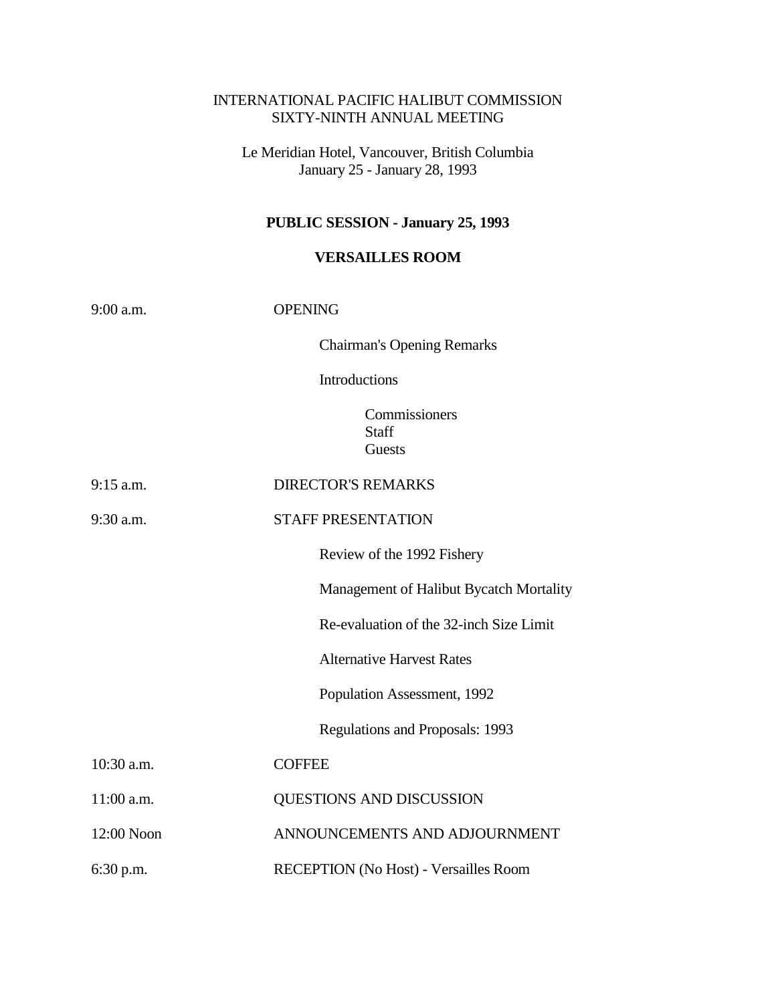## INTERNATIONAL PACIFIC HALIBUT COMMISSION SIXTY-NINTH ANNUAL MEETING

Le Meridian Hotel, Vancouver, British Columbia January 25 - January 28, 1993

# **PUBLIC SESSION - January 25, 1993**

## **VERSAILLES ROOM**

| 9:00 a.m.   | <b>OPENING</b>                          |  |  |
|-------------|-----------------------------------------|--|--|
|             | <b>Chairman's Opening Remarks</b>       |  |  |
|             | Introductions                           |  |  |
|             | Commissioners<br><b>Staff</b><br>Guests |  |  |
| $9:15$ a.m. | <b>DIRECTOR'S REMARKS</b>               |  |  |
| $9:30$ a.m. | <b>STAFF PRESENTATION</b>               |  |  |
|             | Review of the 1992 Fishery              |  |  |
|             | Management of Halibut Bycatch Mortality |  |  |
|             | Re-evaluation of the 32-inch Size Limit |  |  |
|             | <b>Alternative Harvest Rates</b>        |  |  |
|             | Population Assessment, 1992             |  |  |
|             | Regulations and Proposals: 1993         |  |  |
| 10:30 a.m.  | <b>COFFEE</b>                           |  |  |
| 11:00 a.m.  | QUESTIONS AND DISCUSSION                |  |  |
| 12:00 Noon  | ANNOUNCEMENTS AND ADJOURNMENT           |  |  |
| 6:30 p.m.   | RECEPTION (No Host) - Versailles Room   |  |  |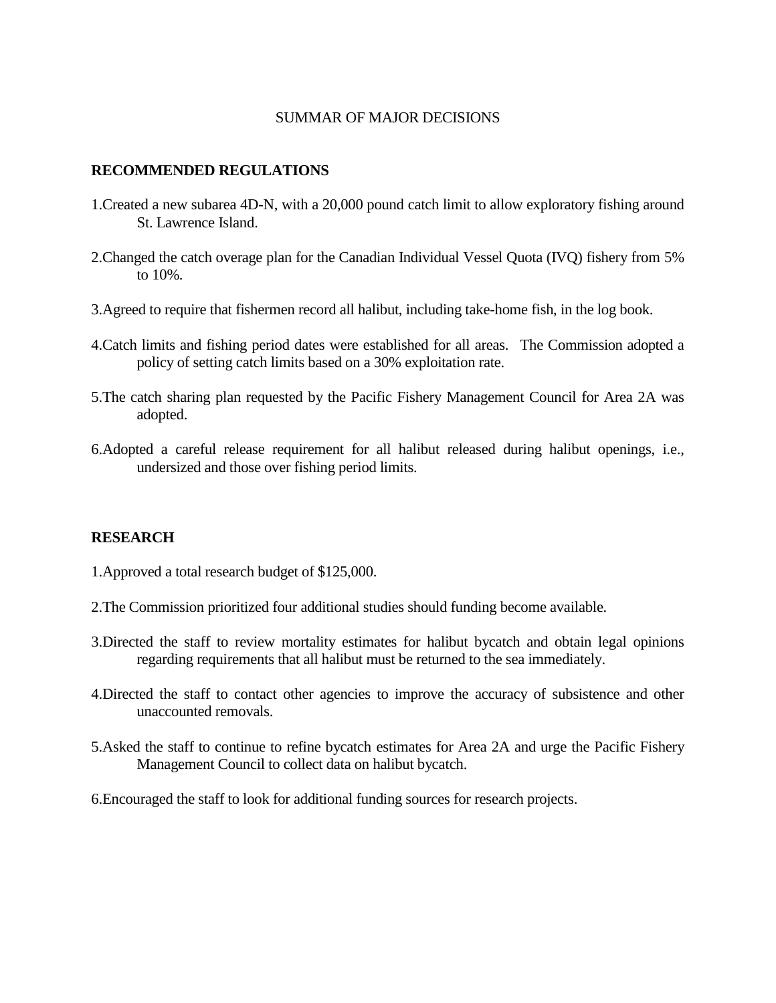#### SUMMAR OF MAJOR DECISIONS

#### **RECOMMENDED REGULATIONS**

- 1.Created a new subarea 4D-N, with a 20,000 pound catch limit to allow exploratory fishing around St. Lawrence Island.
- 2.Changed the catch overage plan for the Canadian Individual Vessel Quota (IVQ) fishery from 5% to 10%.
- 3.Agreed to require that fishermen record all halibut, including take-home fish, in the log book.
- 4.Catch limits and fishing period dates were established for all areas. The Commission adopted a policy of setting catch limits based on a 30% exploitation rate.
- 5.The catch sharing plan requested by the Pacific Fishery Management Council for Area 2A was adopted.
- 6.Adopted a careful release requirement for all halibut released during halibut openings, i.e., undersized and those over fishing period limits.

### **RESEARCH**

- 1.Approved a total research budget of \$125,000.
- 2.The Commission prioritized four additional studies should funding become available.
- 3.Directed the staff to review mortality estimates for halibut bycatch and obtain legal opinions regarding requirements that all halibut must be returned to the sea immediately.
- 4.Directed the staff to contact other agencies to improve the accuracy of subsistence and other unaccounted removals.
- 5.Asked the staff to continue to refine bycatch estimates for Area 2A and urge the Pacific Fishery Management Council to collect data on halibut bycatch.
- 6.Encouraged the staff to look for additional funding sources for research projects.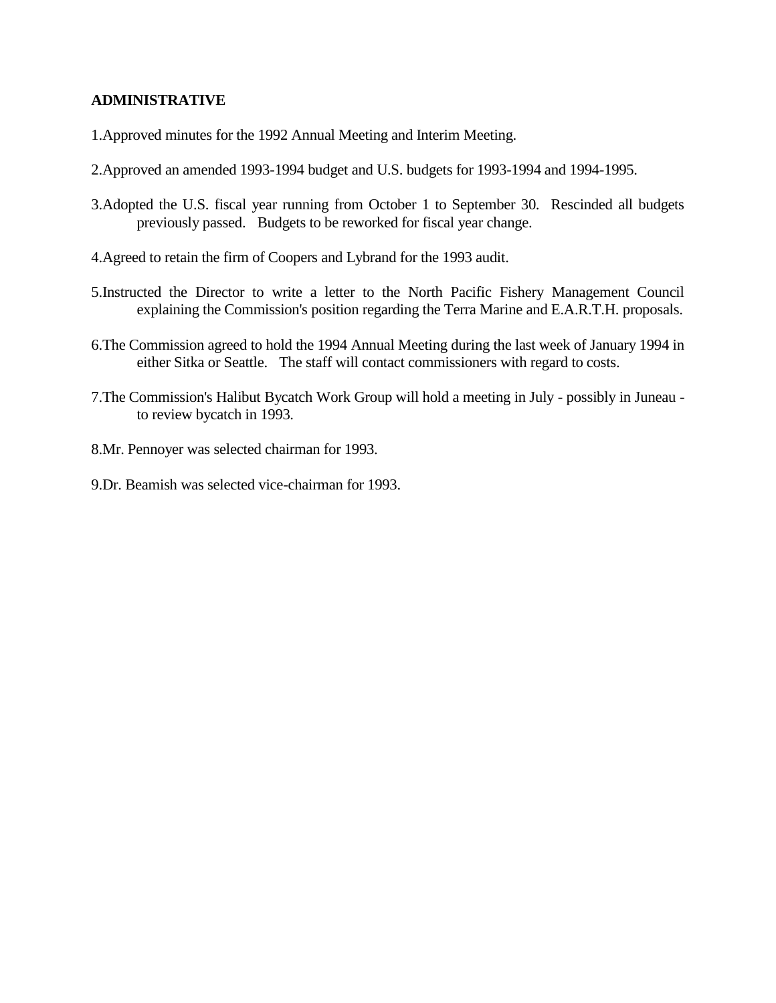## **ADMINISTRATIVE**

- 1.Approved minutes for the 1992 Annual Meeting and Interim Meeting.
- 2.Approved an amended 1993-1994 budget and U.S. budgets for 1993-1994 and 1994-1995.
- 3.Adopted the U.S. fiscal year running from October 1 to September 30. Rescinded all budgets previously passed. Budgets to be reworked for fiscal year change.
- 4.Agreed to retain the firm of Coopers and Lybrand for the 1993 audit.
- 5.Instructed the Director to write a letter to the North Pacific Fishery Management Council explaining the Commission's position regarding the Terra Marine and E.A.R.T.H. proposals.
- 6.The Commission agreed to hold the 1994 Annual Meeting during the last week of January 1994 in either Sitka or Seattle. The staff will contact commissioners with regard to costs.
- 7.The Commission's Halibut Bycatch Work Group will hold a meeting in July possibly in Juneau to review bycatch in 1993.
- 8.Mr. Pennoyer was selected chairman for 1993.
- 9.Dr. Beamish was selected vice-chairman for 1993.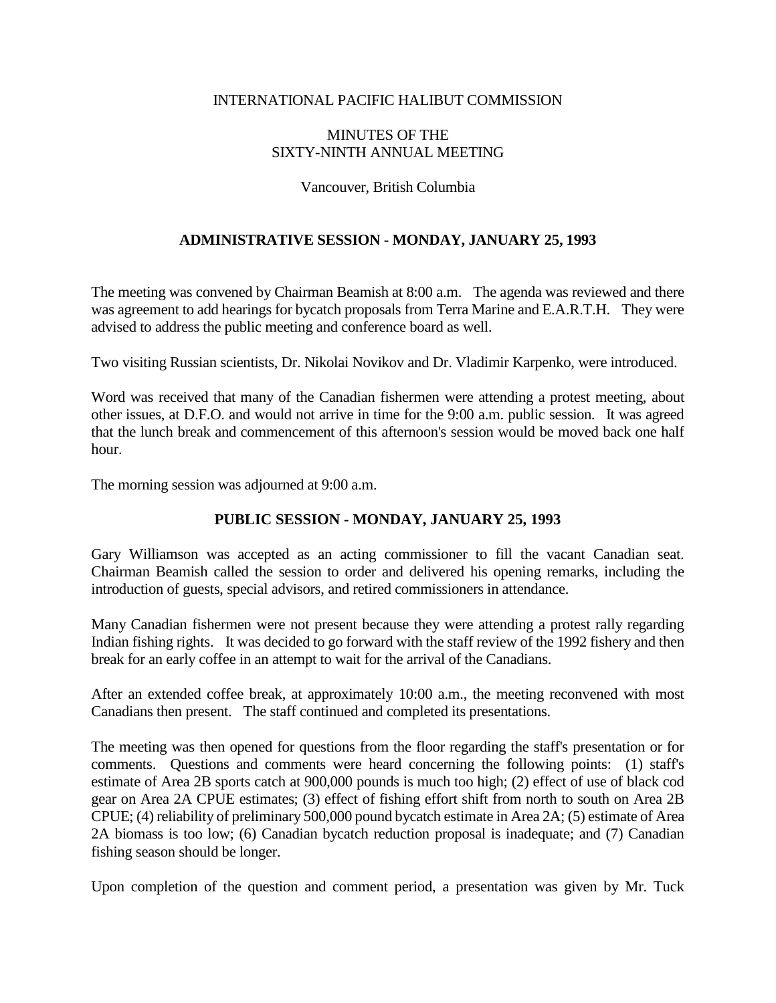### INTERNATIONAL PACIFIC HALIBUT COMMISSION

## MINUTES OF THE SIXTY-NINTH ANNUAL MEETING

#### Vancouver, British Columbia

## **ADMINISTRATIVE SESSION - MONDAY, JANUARY 25, 1993**

The meeting was convened by Chairman Beamish at 8:00 a.m. The agenda was reviewed and there was agreement to add hearings for bycatch proposals from Terra Marine and E.A.R.T.H. They were advised to address the public meeting and conference board as well.

Two visiting Russian scientists, Dr. Nikolai Novikov and Dr. Vladimir Karpenko, were introduced.

Word was received that many of the Canadian fishermen were attending a protest meeting, about other issues, at D.F.O. and would not arrive in time for the 9:00 a.m. public session. It was agreed that the lunch break and commencement of this afternoon's session would be moved back one half hour.

The morning session was adjourned at 9:00 a.m.

### **PUBLIC SESSION - MONDAY, JANUARY 25, 1993**

Gary Williamson was accepted as an acting commissioner to fill the vacant Canadian seat. Chairman Beamish called the session to order and delivered his opening remarks, including the introduction of guests, special advisors, and retired commissioners in attendance.

Many Canadian fishermen were not present because they were attending a protest rally regarding Indian fishing rights. It was decided to go forward with the staff review of the 1992 fishery and then break for an early coffee in an attempt to wait for the arrival of the Canadians.

After an extended coffee break, at approximately 10:00 a.m., the meeting reconvened with most Canadians then present. The staff continued and completed its presentations.

The meeting was then opened for questions from the floor regarding the staff's presentation or for comments. Questions and comments were heard concerning the following points: (1) staff's estimate of Area 2B sports catch at 900,000 pounds is much too high; (2) effect of use of black cod gear on Area 2A CPUE estimates; (3) effect of fishing effort shift from north to south on Area 2B CPUE; (4) reliability of preliminary 500,000 pound bycatch estimate in Area 2A; (5) estimate of Area 2A biomass is too low; (6) Canadian bycatch reduction proposal is inadequate; and (7) Canadian fishing season should be longer.

Upon completion of the question and comment period, a presentation was given by Mr. Tuck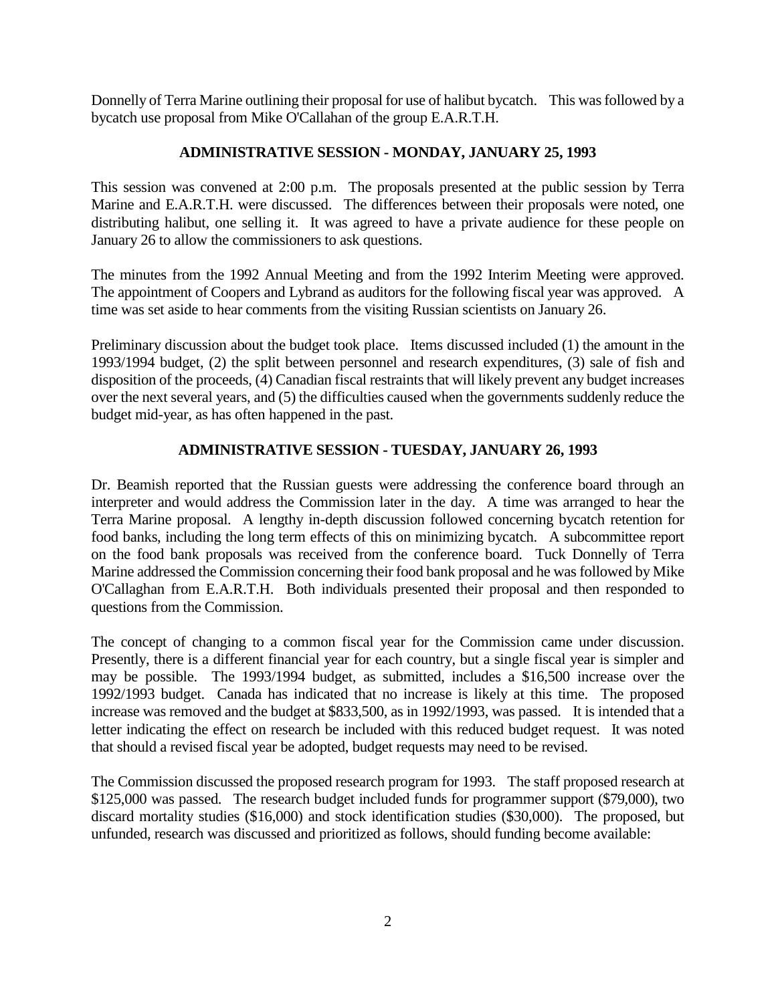Donnelly of Terra Marine outlining their proposal for use of halibut bycatch. This was followed by a bycatch use proposal from Mike O'Callahan of the group E.A.R.T.H.

## **ADMINISTRATIVE SESSION - MONDAY, JANUARY 25, 1993**

This session was convened at 2:00 p.m. The proposals presented at the public session by Terra Marine and E.A.R.T.H. were discussed. The differences between their proposals were noted, one distributing halibut, one selling it. It was agreed to have a private audience for these people on January 26 to allow the commissioners to ask questions.

The minutes from the 1992 Annual Meeting and from the 1992 Interim Meeting were approved. The appointment of Coopers and Lybrand as auditors for the following fiscal year was approved. A time was set aside to hear comments from the visiting Russian scientists on January 26.

Preliminary discussion about the budget took place. Items discussed included (1) the amount in the 1993/1994 budget, (2) the split between personnel and research expenditures, (3) sale of fish and disposition of the proceeds, (4) Canadian fiscal restraints that will likely prevent any budget increases over the next several years, and (5) the difficulties caused when the governments suddenly reduce the budget mid-year, as has often happened in the past.

## **ADMINISTRATIVE SESSION - TUESDAY, JANUARY 26, 1993**

Dr. Beamish reported that the Russian guests were addressing the conference board through an interpreter and would address the Commission later in the day. A time was arranged to hear the Terra Marine proposal. A lengthy in-depth discussion followed concerning bycatch retention for food banks, including the long term effects of this on minimizing bycatch. A subcommittee report on the food bank proposals was received from the conference board. Tuck Donnelly of Terra Marine addressed the Commission concerning their food bank proposal and he was followed by Mike O'Callaghan from E.A.R.T.H. Both individuals presented their proposal and then responded to questions from the Commission.

The concept of changing to a common fiscal year for the Commission came under discussion. Presently, there is a different financial year for each country, but a single fiscal year is simpler and may be possible. The 1993/1994 budget, as submitted, includes a \$16,500 increase over the 1992/1993 budget. Canada has indicated that no increase is likely at this time. The proposed increase was removed and the budget at \$833,500, as in 1992/1993, was passed. It is intended that a letter indicating the effect on research be included with this reduced budget request. It was noted that should a revised fiscal year be adopted, budget requests may need to be revised.

The Commission discussed the proposed research program for 1993. The staff proposed research at \$125,000 was passed. The research budget included funds for programmer support (\$79,000), two discard mortality studies (\$16,000) and stock identification studies (\$30,000). The proposed, but unfunded, research was discussed and prioritized as follows, should funding become available: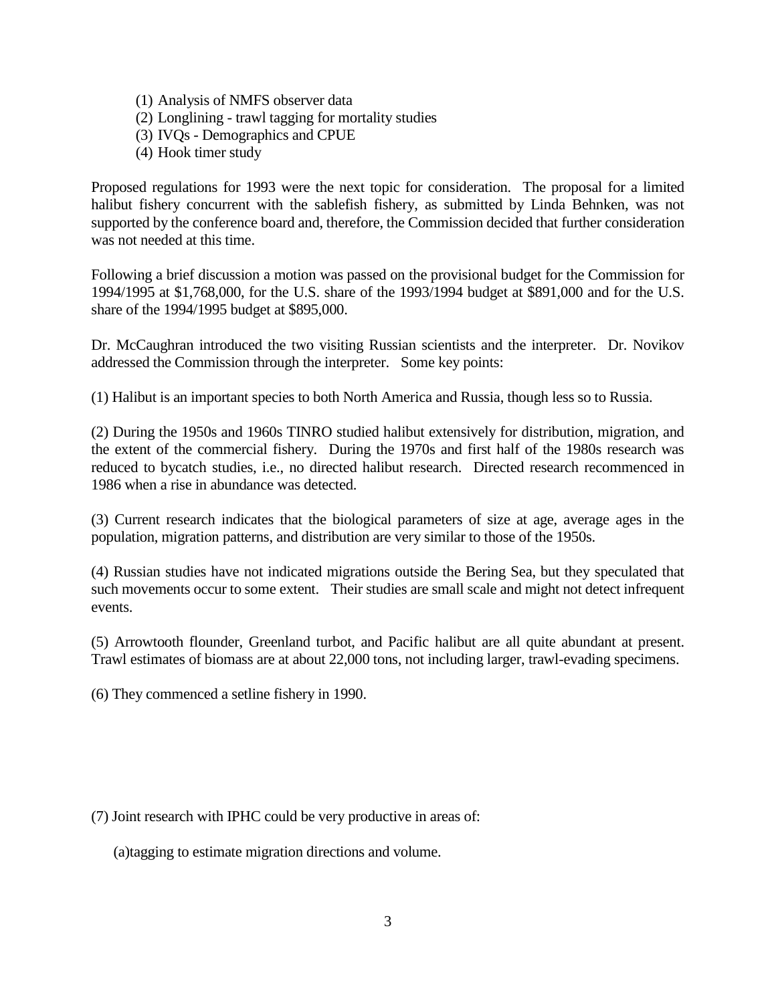- (1) Analysis of NMFS observer data
- (2) Longlining trawl tagging for mortality studies
- (3) IVQs Demographics and CPUE
- (4) Hook timer study

Proposed regulations for 1993 were the next topic for consideration. The proposal for a limited halibut fishery concurrent with the sablefish fishery, as submitted by Linda Behnken, was not supported by the conference board and, therefore, the Commission decided that further consideration was not needed at this time.

Following a brief discussion a motion was passed on the provisional budget for the Commission for 1994/1995 at \$1,768,000, for the U.S. share of the 1993/1994 budget at \$891,000 and for the U.S. share of the 1994/1995 budget at \$895,000.

Dr. McCaughran introduced the two visiting Russian scientists and the interpreter. Dr. Novikov addressed the Commission through the interpreter. Some key points:

(1) Halibut is an important species to both North America and Russia, though less so to Russia.

(2) During the 1950s and 1960s TINRO studied halibut extensively for distribution, migration, and the extent of the commercial fishery. During the 1970s and first half of the 1980s research was reduced to bycatch studies, i.e., no directed halibut research. Directed research recommenced in 1986 when a rise in abundance was detected.

(3) Current research indicates that the biological parameters of size at age, average ages in the population, migration patterns, and distribution are very similar to those of the 1950s.

(4) Russian studies have not indicated migrations outside the Bering Sea, but they speculated that such movements occur to some extent. Their studies are small scale and might not detect infrequent events.

(5) Arrowtooth flounder, Greenland turbot, and Pacific halibut are all quite abundant at present. Trawl estimates of biomass are at about 22,000 tons, not including larger, trawl-evading specimens.

(6) They commenced a setline fishery in 1990.

(7) Joint research with IPHC could be very productive in areas of:

(a)tagging to estimate migration directions and volume.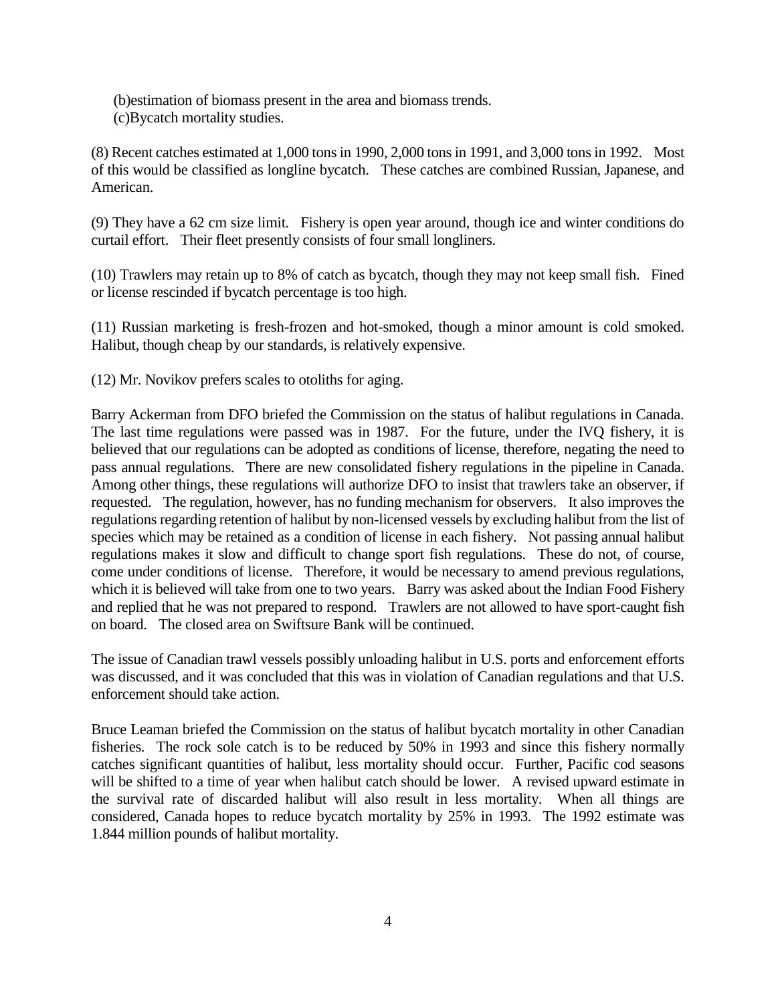- (b)estimation of biomass present in the area and biomass trends.
- (c)Bycatch mortality studies.

(8) Recent catches estimated at 1,000 tons in 1990, 2,000 tons in 1991, and 3,000 tons in 1992. Most of this would be classified as longline bycatch. These catches are combined Russian, Japanese, and American.

(9) They have a 62 cm size limit. Fishery is open year around, though ice and winter conditions do curtail effort. Their fleet presently consists of four small longliners.

(10) Trawlers may retain up to 8% of catch as bycatch, though they may not keep small fish. Fined or license rescinded if bycatch percentage is too high.

(11) Russian marketing is fresh-frozen and hot-smoked, though a minor amount is cold smoked. Halibut, though cheap by our standards, is relatively expensive.

(12) Mr. Novikov prefers scales to otoliths for aging.

Barry Ackerman from DFO briefed the Commission on the status of halibut regulations in Canada. The last time regulations were passed was in 1987. For the future, under the IVQ fishery, it is believed that our regulations can be adopted as conditions of license, therefore, negating the need to pass annual regulations. There are new consolidated fishery regulations in the pipeline in Canada. Among other things, these regulations will authorize DFO to insist that trawlers take an observer, if requested. The regulation, however, has no funding mechanism for observers. It also improves the regulations regarding retention of halibut by non-licensed vessels by excluding halibut from the list of species which may be retained as a condition of license in each fishery. Not passing annual halibut regulations makes it slow and difficult to change sport fish regulations. These do not, of course, come under conditions of license. Therefore, it would be necessary to amend previous regulations, which it is believed will take from one to two years. Barry was asked about the Indian Food Fishery and replied that he was not prepared to respond. Trawlers are not allowed to have sport-caught fish on board. The closed area on Swiftsure Bank will be continued.

The issue of Canadian trawl vessels possibly unloading halibut in U.S. ports and enforcement efforts was discussed, and it was concluded that this was in violation of Canadian regulations and that U.S. enforcement should take action.

Bruce Leaman briefed the Commission on the status of halibut bycatch mortality in other Canadian fisheries. The rock sole catch is to be reduced by 50% in 1993 and since this fishery normally catches significant quantities of halibut, less mortality should occur. Further, Pacific cod seasons will be shifted to a time of year when halibut catch should be lower. A revised upward estimate in the survival rate of discarded halibut will also result in less mortality. When all things are considered, Canada hopes to reduce bycatch mortality by 25% in 1993. The 1992 estimate was 1.844 million pounds of halibut mortality.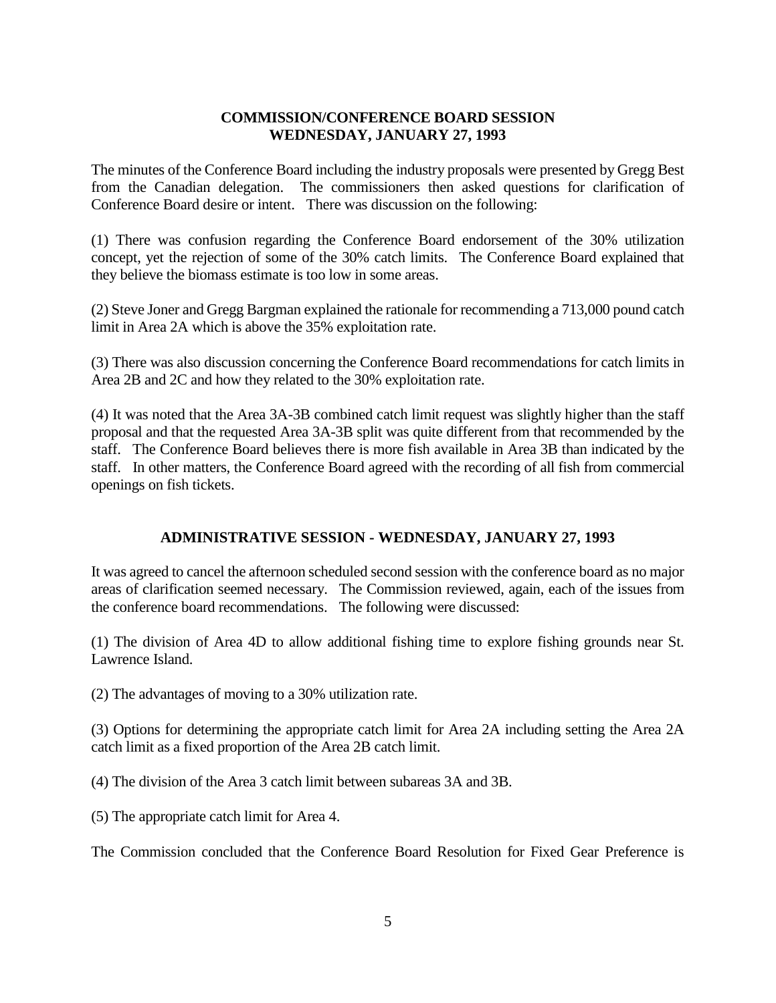## **COMMISSION/CONFERENCE BOARD SESSION WEDNESDAY, JANUARY 27, 1993**

The minutes of the Conference Board including the industry proposals were presented by Gregg Best from the Canadian delegation. The commissioners then asked questions for clarification of Conference Board desire or intent. There was discussion on the following:

(1) There was confusion regarding the Conference Board endorsement of the 30% utilization concept, yet the rejection of some of the 30% catch limits. The Conference Board explained that they believe the biomass estimate is too low in some areas.

(2) Steve Joner and Gregg Bargman explained the rationale for recommending a 713,000 pound catch limit in Area 2A which is above the 35% exploitation rate.

(3) There was also discussion concerning the Conference Board recommendations for catch limits in Area 2B and 2C and how they related to the 30% exploitation rate.

(4) It was noted that the Area 3A-3B combined catch limit request was slightly higher than the staff proposal and that the requested Area 3A-3B split was quite different from that recommended by the staff. The Conference Board believes there is more fish available in Area 3B than indicated by the staff. In other matters, the Conference Board agreed with the recording of all fish from commercial openings on fish tickets.

## **ADMINISTRATIVE SESSION - WEDNESDAY, JANUARY 27, 1993**

It was agreed to cancel the afternoon scheduled second session with the conference board as no major areas of clarification seemed necessary. The Commission reviewed, again, each of the issues from the conference board recommendations. The following were discussed:

(1) The division of Area 4D to allow additional fishing time to explore fishing grounds near St. Lawrence Island.

(2) The advantages of moving to a 30% utilization rate.

(3) Options for determining the appropriate catch limit for Area 2A including setting the Area 2A catch limit as a fixed proportion of the Area 2B catch limit.

(4) The division of the Area 3 catch limit between subareas 3A and 3B.

(5) The appropriate catch limit for Area 4.

The Commission concluded that the Conference Board Resolution for Fixed Gear Preference is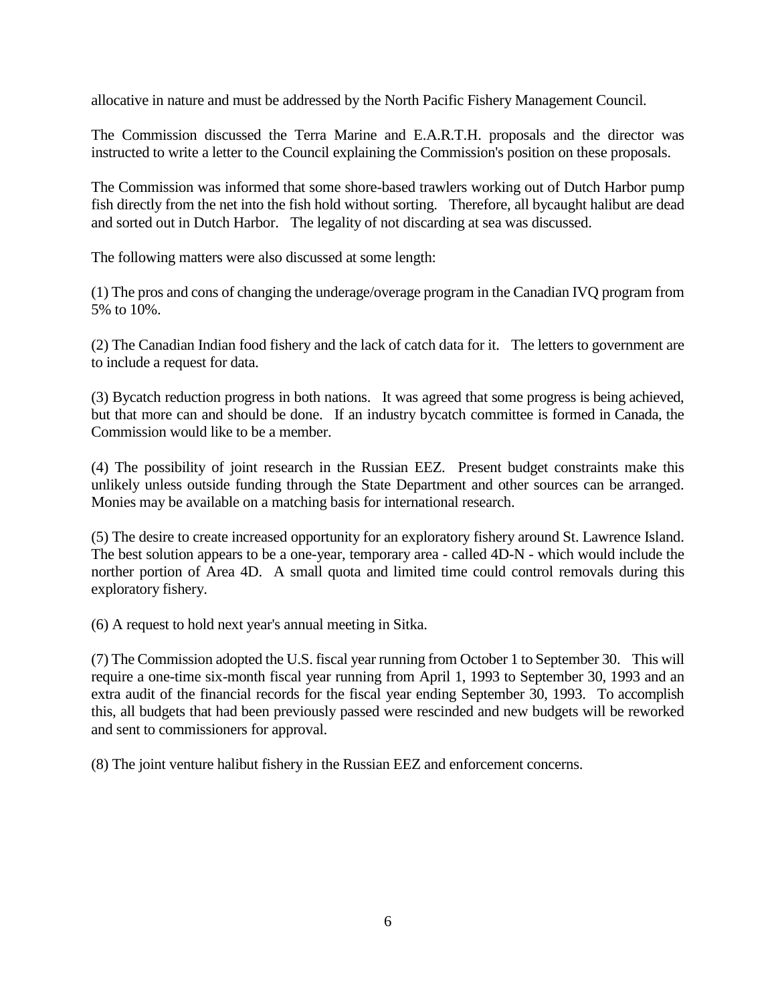allocative in nature and must be addressed by the North Pacific Fishery Management Council.

The Commission discussed the Terra Marine and E.A.R.T.H. proposals and the director was instructed to write a letter to the Council explaining the Commission's position on these proposals.

The Commission was informed that some shore-based trawlers working out of Dutch Harbor pump fish directly from the net into the fish hold without sorting. Therefore, all bycaught halibut are dead and sorted out in Dutch Harbor. The legality of not discarding at sea was discussed.

The following matters were also discussed at some length:

(1) The pros and cons of changing the underage/overage program in the Canadian IVQ program from 5% to 10%.

(2) The Canadian Indian food fishery and the lack of catch data for it. The letters to government are to include a request for data.

(3) Bycatch reduction progress in both nations. It was agreed that some progress is being achieved, but that more can and should be done. If an industry bycatch committee is formed in Canada, the Commission would like to be a member.

(4) The possibility of joint research in the Russian EEZ. Present budget constraints make this unlikely unless outside funding through the State Department and other sources can be arranged. Monies may be available on a matching basis for international research.

(5) The desire to create increased opportunity for an exploratory fishery around St. Lawrence Island. The best solution appears to be a one-year, temporary area - called 4D-N - which would include the norther portion of Area 4D. A small quota and limited time could control removals during this exploratory fishery.

(6) A request to hold next year's annual meeting in Sitka.

(7) The Commission adopted the U.S. fiscal year running from October 1 to September 30. This will require a one-time six-month fiscal year running from April 1, 1993 to September 30, 1993 and an extra audit of the financial records for the fiscal year ending September 30, 1993. To accomplish this, all budgets that had been previously passed were rescinded and new budgets will be reworked and sent to commissioners for approval.

(8) The joint venture halibut fishery in the Russian EEZ and enforcement concerns.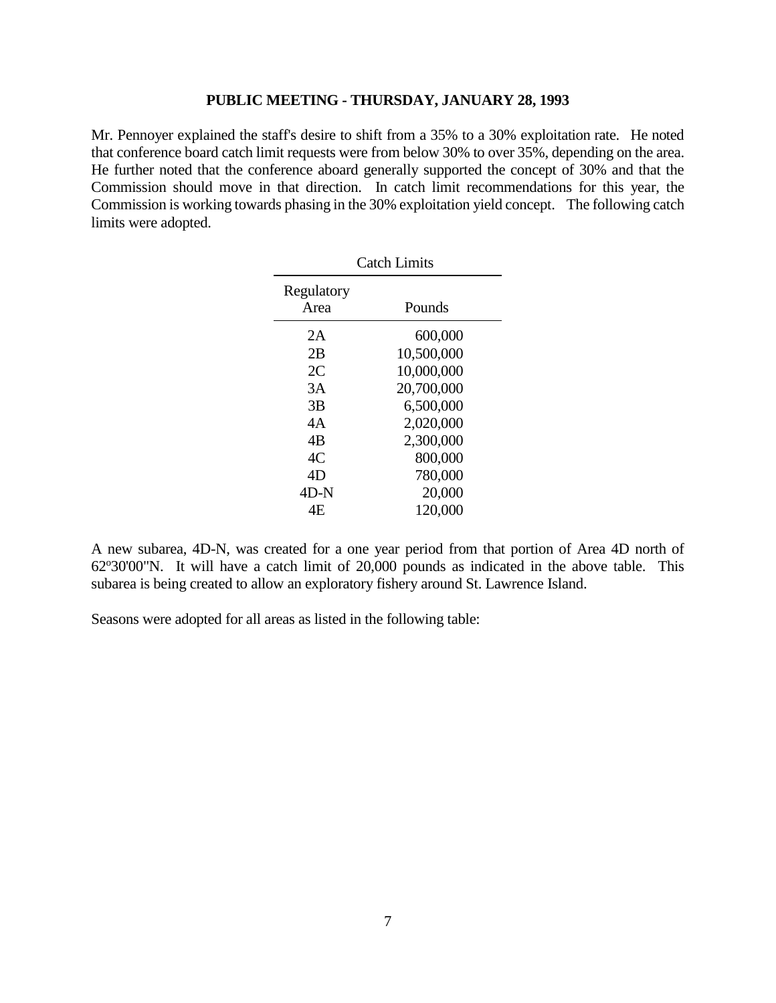#### **PUBLIC MEETING - THURSDAY, JANUARY 28, 1993**

Mr. Pennoyer explained the staff's desire to shift from a 35% to a 30% exploitation rate. He noted that conference board catch limit requests were from below 30% to over 35%, depending on the area. He further noted that the conference aboard generally supported the concept of 30% and that the Commission should move in that direction. In catch limit recommendations for this year, the Commission is working towards phasing in the 30% exploitation yield concept. The following catch limits were adopted.

| <b>Catch Limits</b> |            |  |
|---------------------|------------|--|
| Regulatory          |            |  |
| Area                | Pounds     |  |
| 2A                  | 600,000    |  |
| 2B                  | 10,500,000 |  |
| 2C                  | 10,000,000 |  |
| 3A                  | 20,700,000 |  |
| 3B                  | 6,500,000  |  |
| 4Α                  | 2,020,000  |  |
| 4B                  | 2,300,000  |  |
| 4C                  | 800,000    |  |
| 4D                  | 780,000    |  |
| $4D-N$              | 20,000     |  |
| 4F.                 | 120,000    |  |
|                     |            |  |

A new subarea, 4D-N, was created for a one year period from that portion of Area 4D north of  $62^{\circ}30'00''$ N. It will have a catch limit of  $20,000$  pounds as indicated in the above table. This subarea is being created to allow an exploratory fishery around St. Lawrence Island.

Seasons were adopted for all areas as listed in the following table: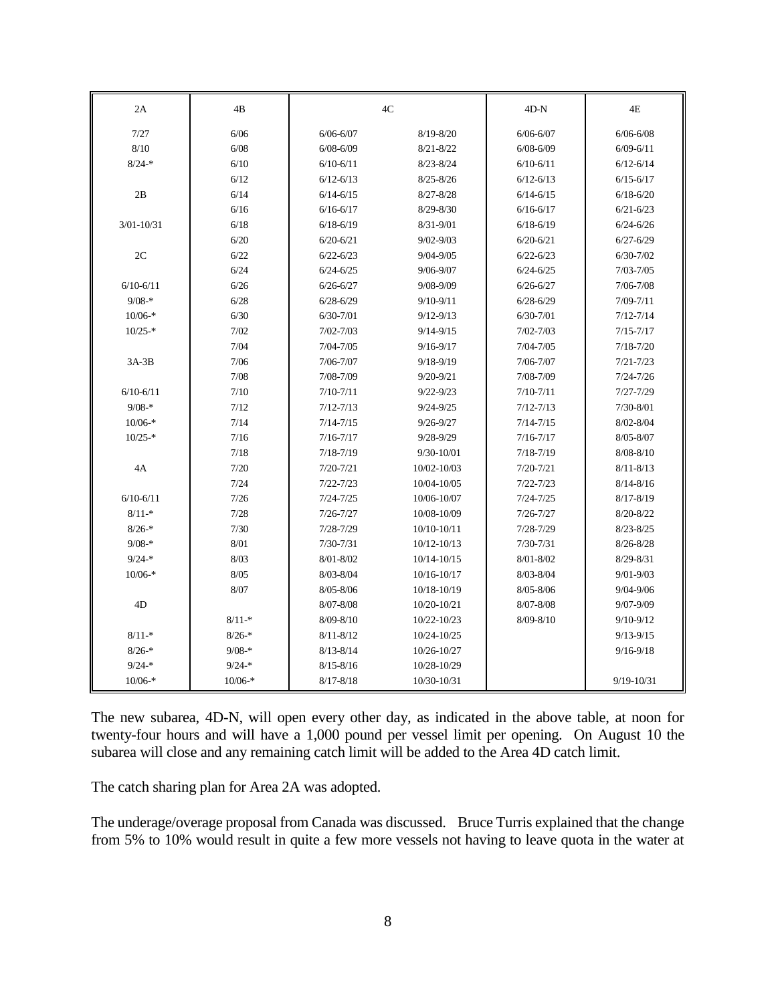| 2A             | 4B        | $4\mathrm{C}$ |                 | $4D-N$        | 4E            |
|----------------|-----------|---------------|-----------------|---------------|---------------|
| 7/27           | 6/06      | $6/06 - 6/07$ | $8/19 - 8/20$   | $6/06 - 6/07$ | $6/06 - 6/08$ |
| 8/10           | 6/08      | $6/08 - 6/09$ | $8/21 - 8/22$   | $6/08 - 6/09$ | $6/09 - 6/11$ |
| $8/24-*$       | 6/10      | $6/10-6/11$   | $8/23 - 8/24$   | $6/10 - 6/11$ | $6/12 - 6/14$ |
|                | 6/12      | $6/12 - 6/13$ | $8/25 - 8/26$   | $6/12 - 6/13$ | $6/15 - 6/17$ |
| 2B             | 6/14      | $6/14 - 6/15$ | $8/27 - 8/28$   | $6/14 - 6/15$ | $6/18 - 6/20$ |
|                | 6/16      | $6/16 - 6/17$ | $8/29 - 8/30$   | $6/16 - 6/17$ | $6/21 - 6/23$ |
| $3/01 - 10/31$ | 6/18      | $6/18 - 6/19$ | $8/31 - 9/01$   | $6/18 - 6/19$ | $6/24 - 6/26$ |
|                | 6/20      | $6/20 - 6/21$ | $9/02 - 9/03$   | $6/20 - 6/21$ | $6/27 - 6/29$ |
| 2C             | 6/22      | $6/22 - 6/23$ | $9/04 - 9/05$   | $6/22 - 6/23$ | $6/30 - 7/02$ |
|                | 6/24      | $6/24 - 6/25$ | $9/06 - 9/07$   | $6/24 - 6/25$ | $7/03 - 7/05$ |
| $6/10 - 6/11$  | 6/26      | $6/26 - 6/27$ | 9/08-9/09       | $6/26 - 6/27$ | $7/06 - 7/08$ |
| $9/08-*$       | 6/28      | $6/28 - 6/29$ | $9/10 - 9/11$   | $6/28 - 6/29$ | $7/09 - 7/11$ |
| $10/06-*$      | 6/30      | $6/30-7/01$   | $9/12 - 9/13$   | $6/30 - 7/01$ | $7/12 - 7/14$ |
| $10/25-*$      | 7/02      | $7/02 - 7/03$ | $9/14 - 9/15$   | $7/02 - 7/03$ | $7/15 - 7/17$ |
|                | 7/04      | $7/04 - 7/05$ | $9/16 - 9/17$   | $7/04 - 7/05$ | $7/18 - 7/20$ |
| $3A-3B$        | 7/06      | $7/06 - 7/07$ | $9/18 - 9/19$   | $7/06 - 7/07$ | $7/21 - 7/23$ |
|                | 7/08      | 7/08-7/09     | $9/20 - 9/21$   | 7/08-7/09     | $7/24 - 7/26$ |
| $6/10-6/11$    | 7/10      | $7/10 - 7/11$ | $9/22 - 9/23$   | $7/10 - 7/11$ | $7/27 - 7/29$ |
| $9/08-*$       | 7/12      | $7/12 - 7/13$ | $9/24 - 9/25$   | $7/12 - 7/13$ | $7/30 - 8/01$ |
| $10/06-*$      | 7/14      | $7/14 - 7/15$ | $9/26 - 9/27$   | $7/14 - 7/15$ | $8/02 - 8/04$ |
| $10/25-*$      | 7/16      | $7/16 - 7/17$ | $9/28 - 9/29$   | $7/16 - 7/17$ | $8/05 - 8/07$ |
|                | 7/18      | $7/18 - 7/19$ | $9/30 - 10/01$  | $7/18 - 7/19$ | $8/08 - 8/10$ |
| 4A             | 7/20      | $7/20 - 7/21$ | 10/02-10/03     | $7/20 - 7/21$ | $8/11 - 8/13$ |
|                | 7/24      | $7/22 - 7/23$ | 10/04-10/05     | $7/22 - 7/23$ | $8/14 - 8/16$ |
| $6/10 - 6/11$  | 7/26      | $7/24 - 7/25$ | 10/06-10/07     | $7/24 - 7/25$ | $8/17 - 8/19$ |
| $8/11-*$       | 7/28      | $7/26 - 7/27$ | 10/08-10/09     | $7/26 - 7/27$ | $8/20 - 8/22$ |
| $8/26-*$       | 7/30      | $7/28 - 7/29$ | 10/10-10/11     | $7/28 - 7/29$ | $8/23 - 8/25$ |
| $9/08-*$       | 8/01      | $7/30 - 7/31$ | $10/12 - 10/13$ | $7/30 - 7/31$ | $8/26 - 8/28$ |
| $9/24-*$       | 8/03      | $8/01 - 8/02$ | $10/14 - 10/15$ | $8/01 - 8/02$ | $8/29 - 8/31$ |
| $10/06-*$      | 8/05      | $8/03 - 8/04$ | $10/16 - 10/17$ | $8/03 - 8/04$ | $9/01 - 9/03$ |
|                | 8/07      | 8/05-8/06     | 10/18-10/19     | $8/05 - 8/06$ | $9/04 - 9/06$ |
| 4D             |           | 8/07-8/08     | 10/20-10/21     | 8/07-8/08     | $9/07 - 9/09$ |
|                | $8/11-*$  | $8/09 - 8/10$ | 10/22-10/23     | $8/09 - 8/10$ | $9/10 - 9/12$ |
| $8/11-*$       | $8/26-*$  | $8/11 - 8/12$ | 10/24-10/25     |               | $9/13 - 9/15$ |
| $8/26-*$       | $9/08-*$  | $8/13 - 8/14$ | 10/26-10/27     |               | $9/16 - 9/18$ |
| $9/24-*$       | $9/24-*$  | $8/15 - 8/16$ | 10/28-10/29     |               |               |
| $10/06-*$      | $10/06-*$ | $8/17 - 8/18$ | 10/30-10/31     |               | 9/19-10/31    |

The new subarea, 4D-N, will open every other day, as indicated in the above table, at noon for twenty-four hours and will have a 1,000 pound per vessel limit per opening. On August 10 the subarea will close and any remaining catch limit will be added to the Area 4D catch limit.

The catch sharing plan for Area 2A was adopted.

The underage/overage proposal from Canada was discussed. Bruce Turris explained that the change from 5% to 10% would result in quite a few more vessels not having to leave quota in the water at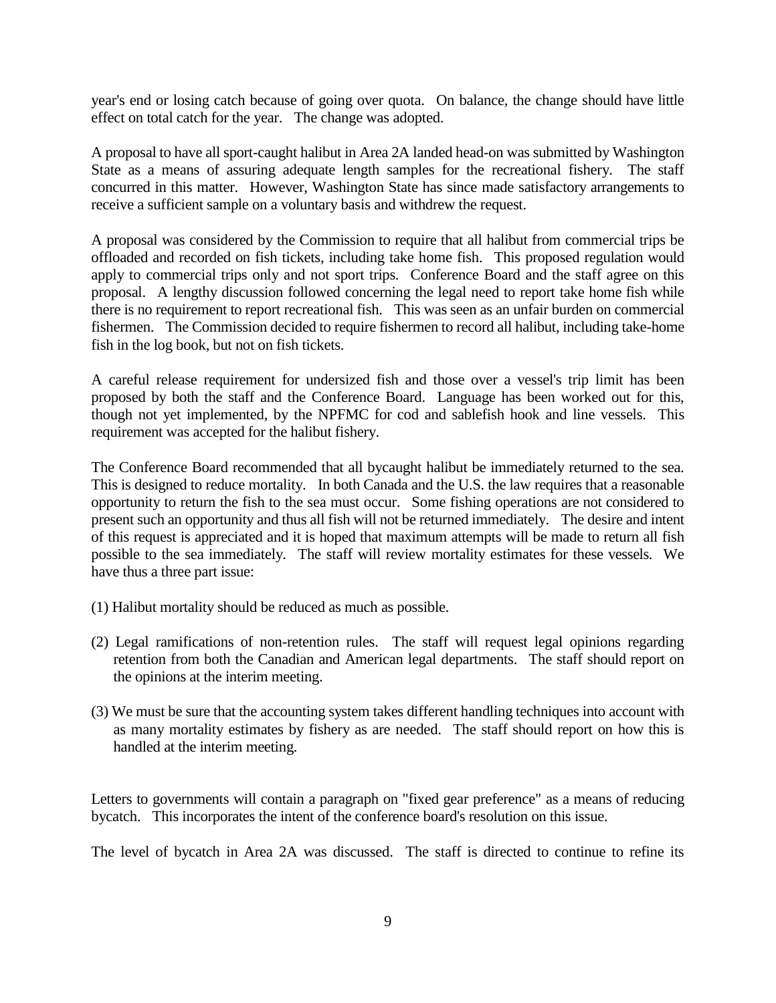year's end or losing catch because of going over quota. On balance, the change should have little effect on total catch for the year. The change was adopted.

A proposal to have all sport-caught halibut in Area 2A landed head-on was submitted by Washington State as a means of assuring adequate length samples for the recreational fishery. The staff concurred in this matter. However, Washington State has since made satisfactory arrangements to receive a sufficient sample on a voluntary basis and withdrew the request.

A proposal was considered by the Commission to require that all halibut from commercial trips be offloaded and recorded on fish tickets, including take home fish. This proposed regulation would apply to commercial trips only and not sport trips. Conference Board and the staff agree on this proposal. A lengthy discussion followed concerning the legal need to report take home fish while there is no requirement to report recreational fish. This was seen as an unfair burden on commercial fishermen. The Commission decided to require fishermen to record all halibut, including take-home fish in the log book, but not on fish tickets.

A careful release requirement for undersized fish and those over a vessel's trip limit has been proposed by both the staff and the Conference Board. Language has been worked out for this, though not yet implemented, by the NPFMC for cod and sablefish hook and line vessels. This requirement was accepted for the halibut fishery.

The Conference Board recommended that all bycaught halibut be immediately returned to the sea. This is designed to reduce mortality. In both Canada and the U.S. the law requires that a reasonable opportunity to return the fish to the sea must occur. Some fishing operations are not considered to present such an opportunity and thus all fish will not be returned immediately. The desire and intent of this request is appreciated and it is hoped that maximum attempts will be made to return all fish possible to the sea immediately. The staff will review mortality estimates for these vessels. We have thus a three part issue:

- (1) Halibut mortality should be reduced as much as possible.
- (2) Legal ramifications of non-retention rules. The staff will request legal opinions regarding retention from both the Canadian and American legal departments. The staff should report on the opinions at the interim meeting.
- (3) We must be sure that the accounting system takes different handling techniques into account with as many mortality estimates by fishery as are needed. The staff should report on how this is handled at the interim meeting.

Letters to governments will contain a paragraph on "fixed gear preference" as a means of reducing bycatch. This incorporates the intent of the conference board's resolution on this issue.

The level of bycatch in Area 2A was discussed. The staff is directed to continue to refine its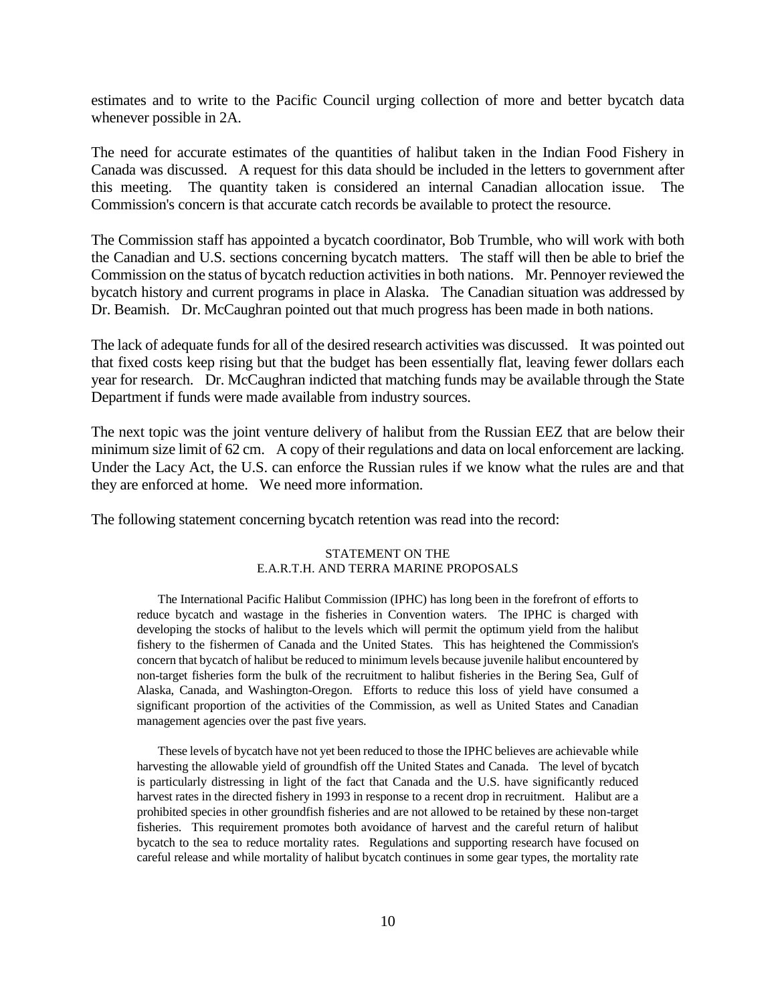estimates and to write to the Pacific Council urging collection of more and better bycatch data whenever possible in 2A.

The need for accurate estimates of the quantities of halibut taken in the Indian Food Fishery in Canada was discussed. A request for this data should be included in the letters to government after this meeting. The quantity taken is considered an internal Canadian allocation issue. The Commission's concern is that accurate catch records be available to protect the resource.

The Commission staff has appointed a bycatch coordinator, Bob Trumble, who will work with both the Canadian and U.S. sections concerning bycatch matters. The staff will then be able to brief the Commission on the status of bycatch reduction activities in both nations. Mr. Pennoyer reviewed the bycatch history and current programs in place in Alaska. The Canadian situation was addressed by Dr. Beamish. Dr. McCaughran pointed out that much progress has been made in both nations.

The lack of adequate funds for all of the desired research activities was discussed. It was pointed out that fixed costs keep rising but that the budget has been essentially flat, leaving fewer dollars each year for research. Dr. McCaughran indicted that matching funds may be available through the State Department if funds were made available from industry sources.

The next topic was the joint venture delivery of halibut from the Russian EEZ that are below their minimum size limit of 62 cm. A copy of their regulations and data on local enforcement are lacking. Under the Lacy Act, the U.S. can enforce the Russian rules if we know what the rules are and that they are enforced at home. We need more information.

The following statement concerning bycatch retention was read into the record:

#### STATEMENT ON THE E.A.R.T.H. AND TERRA MARINE PROPOSALS

The International Pacific Halibut Commission (IPHC) has long been in the forefront of efforts to reduce bycatch and wastage in the fisheries in Convention waters. The IPHC is charged with developing the stocks of halibut to the levels which will permit the optimum yield from the halibut fishery to the fishermen of Canada and the United States. This has heightened the Commission's concern that bycatch of halibut be reduced to minimum levels because juvenile halibut encountered by non-target fisheries form the bulk of the recruitment to halibut fisheries in the Bering Sea, Gulf of Alaska, Canada, and Washington-Oregon. Efforts to reduce this loss of yield have consumed a significant proportion of the activities of the Commission, as well as United States and Canadian management agencies over the past five years.

These levels of bycatch have not yet been reduced to those the IPHC believes are achievable while harvesting the allowable yield of groundfish off the United States and Canada. The level of bycatch is particularly distressing in light of the fact that Canada and the U.S. have significantly reduced harvest rates in the directed fishery in 1993 in response to a recent drop in recruitment. Halibut are a prohibited species in other groundfish fisheries and are not allowed to be retained by these non-target fisheries. This requirement promotes both avoidance of harvest and the careful return of halibut bycatch to the sea to reduce mortality rates. Regulations and supporting research have focused on careful release and while mortality of halibut bycatch continues in some gear types, the mortality rate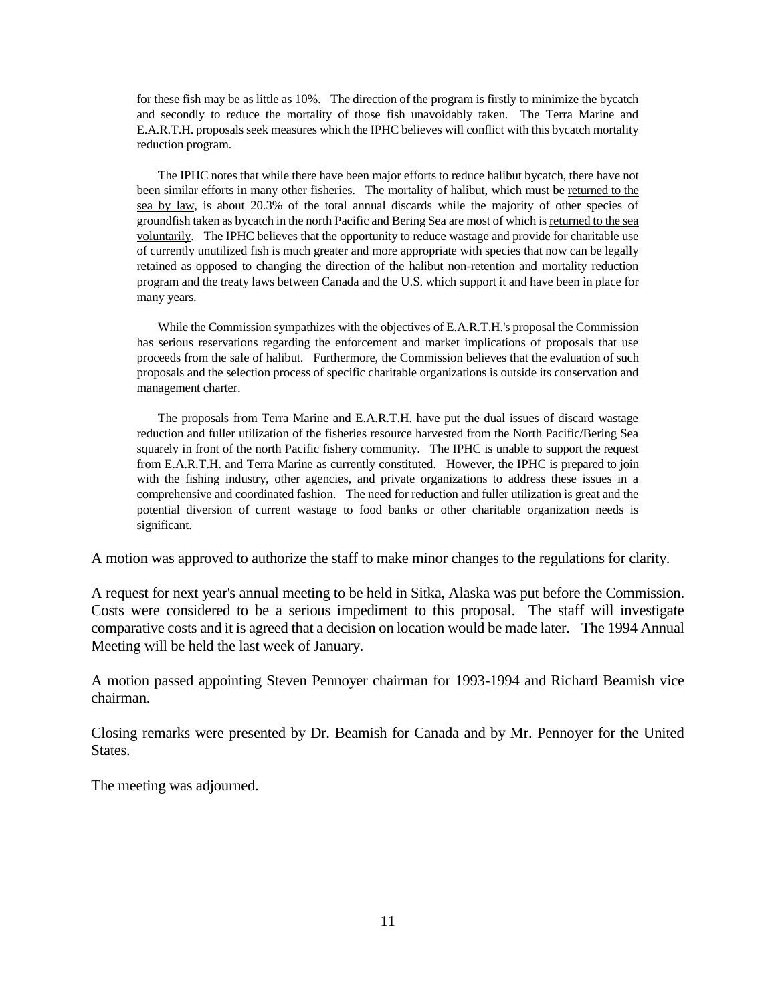for these fish may be as little as 10%. The direction of the program is firstly to minimize the bycatch and secondly to reduce the mortality of those fish unavoidably taken. The Terra Marine and E.A.R.T.H. proposals seek measures which the IPHC believes will conflict with this bycatch mortality reduction program.

The IPHC notes that while there have been major efforts to reduce halibut bycatch, there have not been similar efforts in many other fisheries. The mortality of halibut, which must be returned to the sea by law, is about 20.3% of the total annual discards while the majority of other species of groundfish taken as bycatch in the north Pacific and Bering Sea are most of which is returned to the sea voluntarily. The IPHC believes that the opportunity to reduce wastage and provide for charitable use of currently unutilized fish is much greater and more appropriate with species that now can be legally retained as opposed to changing the direction of the halibut non-retention and mortality reduction program and the treaty laws between Canada and the U.S. which support it and have been in place for many years.

While the Commission sympathizes with the objectives of E.A.R.T.H.'s proposal the Commission has serious reservations regarding the enforcement and market implications of proposals that use proceeds from the sale of halibut. Furthermore, the Commission believes that the evaluation of such proposals and the selection process of specific charitable organizations is outside its conservation and management charter.

The proposals from Terra Marine and E.A.R.T.H. have put the dual issues of discard wastage reduction and fuller utilization of the fisheries resource harvested from the North Pacific/Bering Sea squarely in front of the north Pacific fishery community. The IPHC is unable to support the request from E.A.R.T.H. and Terra Marine as currently constituted. However, the IPHC is prepared to join with the fishing industry, other agencies, and private organizations to address these issues in a comprehensive and coordinated fashion. The need for reduction and fuller utilization is great and the potential diversion of current wastage to food banks or other charitable organization needs is significant.

A motion was approved to authorize the staff to make minor changes to the regulations for clarity.

A request for next year's annual meeting to be held in Sitka, Alaska was put before the Commission. Costs were considered to be a serious impediment to this proposal. The staff will investigate comparative costs and it is agreed that a decision on location would be made later. The 1994 Annual Meeting will be held the last week of January.

A motion passed appointing Steven Pennoyer chairman for 1993-1994 and Richard Beamish vice chairman.

Closing remarks were presented by Dr. Beamish for Canada and by Mr. Pennoyer for the United States.

The meeting was adjourned.